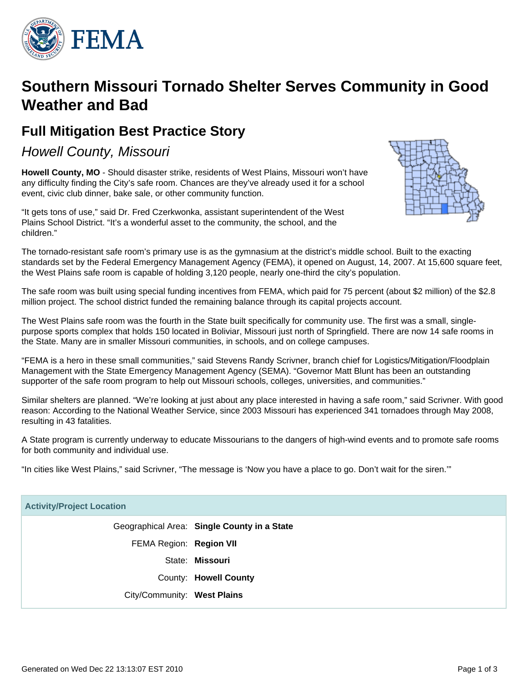

# **Southern Missouri Tornado Shelter Serves Community in Good Weather and Bad**

# **Full Mitigation Best Practice Story**

Howell County, Missouri

**Howell County, MO** - Should disaster strike, residents of West Plains, Missouri won't have any difficulty finding the City's safe room. Chances are they've already used it for a school event, civic club dinner, bake sale, or other community function.

"It gets tons of use," said Dr. Fred Czerkwonka, assistant superintendent of the West Plains School District. "It's a wonderful asset to the community, the school, and the children."



The tornado-resistant safe room's primary use is as the gymnasium at the district's middle school. Built to the exacting standards set by the Federal Emergency Management Agency (FEMA), it opened on August, 14, 2007. At 15,600 square feet, the West Plains safe room is capable of holding 3,120 people, nearly one-third the city's population.

The safe room was built using special funding incentives from FEMA, which paid for 75 percent (about \$2 million) of the \$2.8 million project. The school district funded the remaining balance through its capital projects account.

The West Plains safe room was the fourth in the State built specifically for community use. The first was a small, singlepurpose sports complex that holds 150 located in Boliviar, Missouri just north of Springfield. There are now 14 safe rooms in the State. Many are in smaller Missouri communities, in schools, and on college campuses.

"FEMA is a hero in these small communities," said Stevens Randy Scrivner, branch chief for Logistics/Mitigation/Floodplain Management with the State Emergency Management Agency (SEMA). "Governor Matt Blunt has been an outstanding supporter of the safe room program to help out Missouri schools, colleges, universities, and communities."

Similar shelters are planned. "We're looking at just about any place interested in having a safe room," said Scrivner. With good reason: According to the National Weather Service, since 2003 Missouri has experienced 341 tornadoes through May 2008, resulting in 43 fatalities.

A State program is currently underway to educate Missourians to the dangers of high-wind events and to promote safe rooms for both community and individual use.

"In cities like West Plains," said Scrivner, "The message is 'Now you have a place to go. Don't wait for the siren.'"

| <b>Activity/Project Location</b> |                                             |
|----------------------------------|---------------------------------------------|
|                                  | Geographical Area: Single County in a State |
| FEMA Region: Region VII          |                                             |
|                                  | State: Missouri                             |
|                                  | County: Howell County                       |
| City/Community: West Plains      |                                             |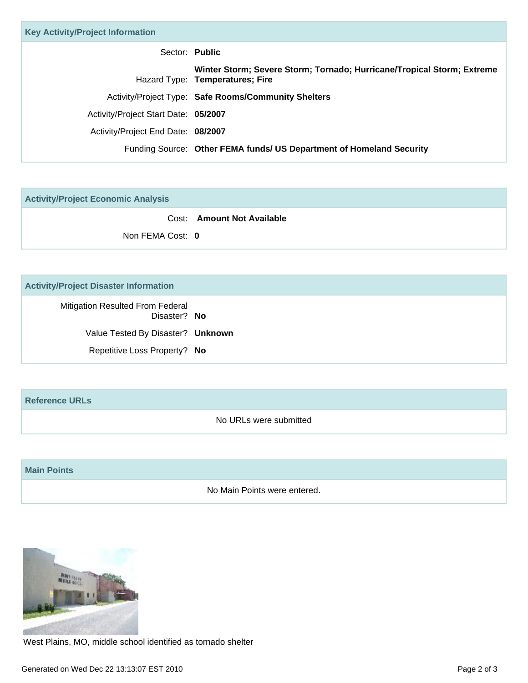| Sector: Public                                                                                            |
|-----------------------------------------------------------------------------------------------------------|
| Winter Storm; Severe Storm; Tornado; Hurricane/Tropical Storm; Extreme<br>Hazard Type: Temperatures; Fire |
| Activity/Project Type: Safe Rooms/Community Shelters                                                      |
| Activity/Project Start Date: 05/2007                                                                      |
| Activity/Project End Date: 08/2007                                                                        |
| Funding Source: Other FEMA funds/ US Department of Homeland Security                                      |
|                                                                                                           |

**Activity/Project Economic Analysis**

Cost: **Amount Not Available**

Non FEMA Cost: **0**

## **Activity/Project Disaster Information**

Mitigation Resulted From Federal Disaster? **No** Value Tested By Disaster? **Unknown** Repetitive Loss Property? **No**

### **Reference URLs**

No URLs were submitted

#### **Main Points**

No Main Points were entered.



West Plains, MO, middle school identified as tornado shelter